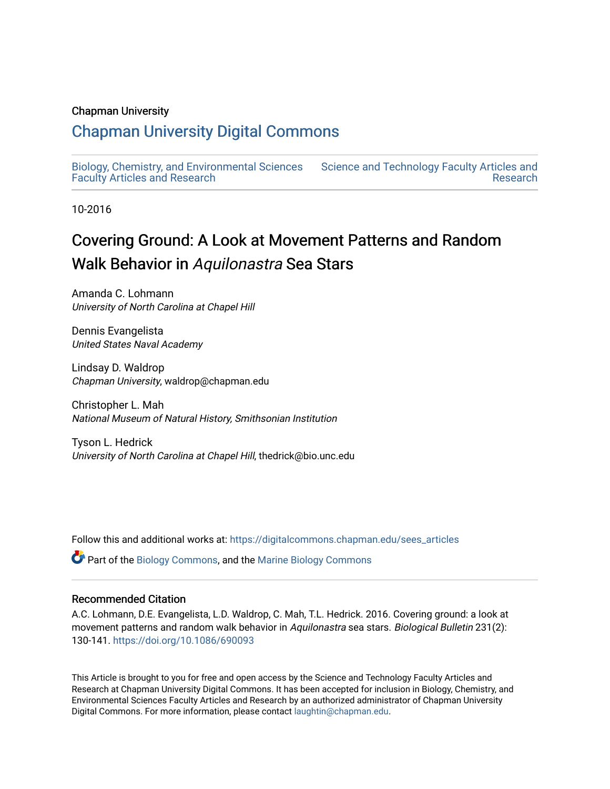### Chapman University

## [Chapman University Digital Commons](https://digitalcommons.chapman.edu/)

[Biology, Chemistry, and Environmental Sciences](https://digitalcommons.chapman.edu/sees_articles) [Faculty Articles and Research](https://digitalcommons.chapman.edu/sees_articles)

[Science and Technology Faculty Articles and](https://digitalcommons.chapman.edu/science_articles)  [Research](https://digitalcommons.chapman.edu/science_articles) 

10-2016

# Covering Ground: A Look at Movement Patterns and Random Walk Behavior in Aquilonastra Sea Stars

Amanda C. Lohmann University of North Carolina at Chapel Hill

Dennis Evangelista United States Naval Academy

Lindsay D. Waldrop Chapman University, waldrop@chapman.edu

Christopher L. Mah National Museum of Natural History, Smithsonian Institution

Tyson L. Hedrick University of North Carolina at Chapel Hill, thedrick@bio.unc.edu

Follow this and additional works at: [https://digitalcommons.chapman.edu/sees\\_articles](https://digitalcommons.chapman.edu/sees_articles?utm_source=digitalcommons.chapman.edu%2Fsees_articles%2F270&utm_medium=PDF&utm_campaign=PDFCoverPages) 

Part of the [Biology Commons,](http://network.bepress.com/hgg/discipline/41?utm_source=digitalcommons.chapman.edu%2Fsees_articles%2F270&utm_medium=PDF&utm_campaign=PDFCoverPages) and the [Marine Biology Commons](http://network.bepress.com/hgg/discipline/1126?utm_source=digitalcommons.chapman.edu%2Fsees_articles%2F270&utm_medium=PDF&utm_campaign=PDFCoverPages)

### Recommended Citation

A.C. Lohmann, D.E. Evangelista, L.D. Waldrop, C. Mah, T.L. Hedrick. 2016. Covering ground: a look at movement patterns and random walk behavior in Aquilonastra sea stars. Biological Bulletin 231(2): 130-141. <https://doi.org/10.1086/690093>

This Article is brought to you for free and open access by the Science and Technology Faculty Articles and Research at Chapman University Digital Commons. It has been accepted for inclusion in Biology, Chemistry, and Environmental Sciences Faculty Articles and Research by an authorized administrator of Chapman University Digital Commons. For more information, please contact [laughtin@chapman.edu](mailto:laughtin@chapman.edu).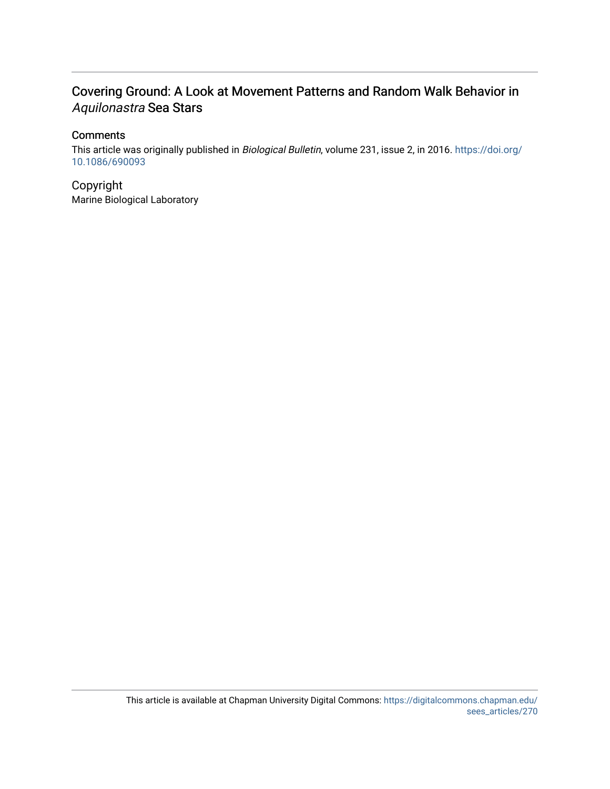## Covering Ground: A Look at Movement Patterns and Random Walk Behavior in Aquilonastra Sea Stars

## **Comments**

This article was originally published in Biological Bulletin, volume 231, issue 2, in 2016. [https://doi.org/](https://doi.org/10.1086/690093) [10.1086/690093](https://doi.org/10.1086/690093)

Copyright Marine Biological Laboratory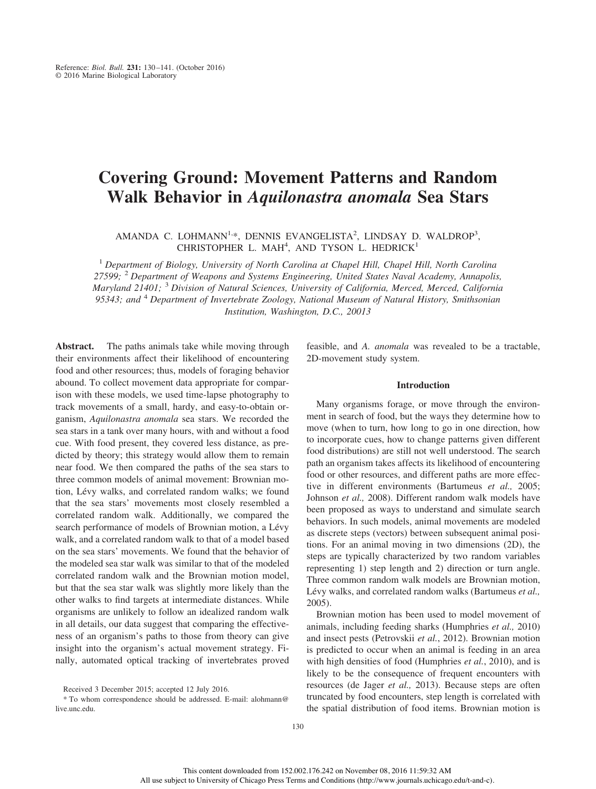## **Covering Ground: Movement Patterns and Random Walk Behavior in** *Aquilonastra anomala* **Sea Stars**

AMANDA C. LOHMANN<sup>1,\*</sup>, DENNIS EVANGELISTA<sup>2</sup>, LINDSAY D. WALDROP<sup>3</sup>, CHRISTOPHER L. MAH<sup>4</sup>, AND TYSON L. HEDRICK<sup>1</sup>

<sup>1</sup> *Department of Biology, University of North Carolina at Chapel Hill, Chapel Hill, North Carolina 27599;* <sup>2</sup> *Department of Weapons and Systems Engineering, United States Naval Academy, Annapolis, Maryland 21401;* <sup>3</sup> *Division of Natural Sciences, University of California, Merced, Merced, California 95343; and* <sup>4</sup> *Department of Invertebrate Zoology, National Museum of Natural History, Smithsonian Institution, Washington, D.C., 20013*

Abstract. The paths animals take while moving through their environments affect their likelihood of encountering food and other resources; thus, models of foraging behavior abound. To collect movement data appropriate for comparison with these models, we used time-lapse photography to track movements of a small, hardy, and easy-to-obtain organism, *Aquilonastra anomala* sea stars. We recorded the sea stars in a tank over many hours, with and without a food cue. With food present, they covered less distance, as predicted by theory; this strategy would allow them to remain near food. We then compared the paths of the sea stars to three common models of animal movement: Brownian motion, Lévy walks, and correlated random walks; we found that the sea stars' movements most closely resembled a correlated random walk. Additionally, we compared the search performance of models of Brownian motion, a Lévy walk, and a correlated random walk to that of a model based on the sea stars' movements. We found that the behavior of the modeled sea star walk was similar to that of the modeled correlated random walk and the Brownian motion model, but that the sea star walk was slightly more likely than the other walks to find targets at intermediate distances. While organisms are unlikely to follow an idealized random walk in all details, our data suggest that comparing the effectiveness of an organism's paths to those from theory can give insight into the organism's actual movement strategy. Finally, automated optical tracking of invertebrates proved feasible, and *A. anomala* was revealed to be a tractable, 2D-movement study system.

#### **Introduction**

Many organisms forage, or move through the environment in search of food, but the ways they determine how to move (when to turn, how long to go in one direction, how to incorporate cues, how to change patterns given different food distributions) are still not well understood. The search path an organism takes affects its likelihood of encountering food or other resources, and different paths are more effective in different environments (Bartumeus *et al.,* 2005; Johnson *et al.,* 2008). Different random walk models have been proposed as ways to understand and simulate search behaviors. In such models, animal movements are modeled as discrete steps (vectors) between subsequent animal positions. For an animal moving in two dimensions (2D), the steps are typically characterized by two random variables representing 1) step length and 2) direction or turn angle. Three common random walk models are Brownian motion, Lévy walks, and correlated random walks (Bartumeus et al., 2005).

Brownian motion has been used to model movement of animals, including feeding sharks (Humphries *et al.,* 2010) and insect pests (Petrovskii *et al.*, 2012). Brownian motion is predicted to occur when an animal is feeding in an area with high densities of food (Humphries *et al.*, 2010), and is likely to be the consequence of frequent encounters with resources (de Jager *et al.,* 2013). Because steps are often truncated by food encounters, step length is correlated with the spatial distribution of food items. Brownian motion is

Received 3 December 2015; accepted 12 July 2016.

<sup>\*</sup> To whom correspondence should be addressed. E-mail: [alohmann@](mailto:alohmann@live.unc.edu) [live.unc.edu.](mailto:alohmann@live.unc.edu)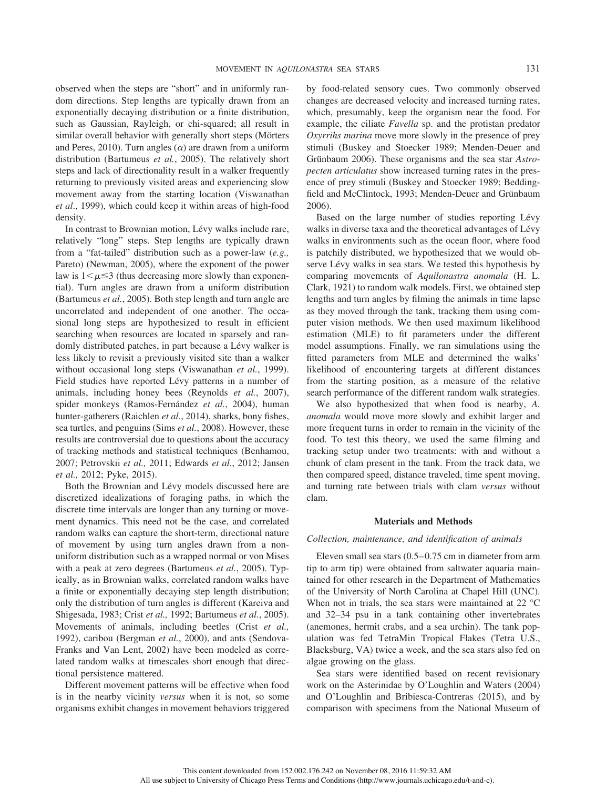observed when the steps are "short" and in uniformly random directions. Step lengths are typically drawn from an exponentially decaying distribution or a finite distribution, such as Gaussian, Rayleigh, or chi-squared; all result in similar overall behavior with generally short steps (Mörters and Peres, 2010). Turn angles  $(\alpha)$  are drawn from a uniform distribution (Bartumeus *et al.*, 2005). The relatively short steps and lack of directionality result in a walker frequently returning to previously visited areas and experiencing slow movement away from the starting location (Viswanathan *et al*., 1999), which could keep it within areas of high-food density.

In contrast to Brownian motion, Lévy walks include rare, relatively "long" steps. Step lengths are typically drawn from a "fat-tailed" distribution such as a power-law (*e.g.,* Pareto) (Newman, 2005), where the exponent of the power law is  $1 \leq \mu \leq 3$  (thus decreasing more slowly than exponential). Turn angles are drawn from a uniform distribution (Bartumeus *et al.*, 2005). Both step length and turn angle are uncorrelated and independent of one another. The occasional long steps are hypothesized to result in efficient searching when resources are located in sparsely and randomly distributed patches, in part because a Lévy walker is less likely to revisit a previously visited site than a walker without occasional long steps (Viswanathan *et al.*, 1999). Field studies have reported Lévy patterns in a number of animals, including honey bees (Reynolds *et al.*, 2007), spider monkeys (Ramos-Fernández et al., 2004), human hunter-gatherers (Raichlen *et al.*, 2014), sharks, bony fishes, sea turtles, and penguins (Sims *et al.*, 2008). However, these results are controversial due to questions about the accuracy of tracking methods and statistical techniques (Benhamou, 2007; Petrovskii *et al.,* 2011; Edwards *et al.*, 2012; Jansen *et al.,* 2012; Pyke, 2015).

Both the Brownian and Lévy models discussed here are discretized idealizations of foraging paths, in which the discrete time intervals are longer than any turning or movement dynamics. This need not be the case, and correlated random walks can capture the short-term, directional nature of movement by using turn angles drawn from a nonuniform distribution such as a wrapped normal or von Mises with a peak at zero degrees (Bartumeus *et al.*, 2005). Typically, as in Brownian walks, correlated random walks have a finite or exponentially decaying step length distribution; only the distribution of turn angles is different (Kareiva and Shigesada, 1983; Crist *et al.,* 1992; Bartumeus *et al.*, 2005). Movements of animals, including beetles (Crist *et al.,* 1992), caribou (Bergman *et al.*, 2000), and ants (Sendova-Franks and Van Lent, 2002) have been modeled as correlated random walks at timescales short enough that directional persistence mattered.

Different movement patterns will be effective when food is in the nearby vicinity *versus* when it is not, so some organisms exhibit changes in movement behaviors triggered by food-related sensory cues. Two commonly observed changes are decreased velocity and increased turning rates, which, presumably, keep the organism near the food. For example, the ciliate *Favella* sp. and the protistan predator *Oxyrrihs marina* move more slowly in the presence of prey stimuli (Buskey and Stoecker 1989; Menden-Deuer and Grünbaum 2006). These organisms and the sea star *Astropecten articulatus* show increased turning rates in the presence of prey stimuli (Buskey and Stoecker 1989; Beddingfield and McClintock, 1993; Menden-Deuer and Grünbaum 2006).

Based on the large number of studies reporting Lévy walks in diverse taxa and the theoretical advantages of Lévy walks in environments such as the ocean floor, where food is patchily distributed, we hypothesized that we would observe Lévy walks in sea stars. We tested this hypothesis by comparing movements of *Aquilonastra anomala* (H. L. Clark, 1921) to random walk models. First, we obtained step lengths and turn angles by filming the animals in time lapse as they moved through the tank, tracking them using computer vision methods. We then used maximum likelihood estimation (MLE) to fit parameters under the different model assumptions. Finally, we ran simulations using the fitted parameters from MLE and determined the walks' likelihood of encountering targets at different distances from the starting position, as a measure of the relative search performance of the different random walk strategies.

We also hypothesized that when food is nearby, *A. anomala* would move more slowly and exhibit larger and more frequent turns in order to remain in the vicinity of the food. To test this theory, we used the same filming and tracking setup under two treatments: with and without a chunk of clam present in the tank. From the track data, we then compared speed, distance traveled, time spent moving, and turning rate between trials with clam *versus* without clam.

#### **Materials and Methods**

#### *Collection, maintenance, and identification of animals*

Eleven small sea stars  $(0.5-0.75)$  cm in diameter from arm tip to arm tip) were obtained from saltwater aquaria maintained for other research in the Department of Mathematics of the University of North Carolina at Chapel Hill (UNC). When not in trials, the sea stars were maintained at 22 °C and 32–34 psu in a tank containing other invertebrates (anemones, hermit crabs, and a sea urchin). The tank population was fed TetraMin Tropical Flakes (Tetra U.S., Blacksburg, VA) twice a week, and the sea stars also fed on algae growing on the glass.

Sea stars were identified based on recent revisionary work on the Asterinidae by O'Loughlin and Waters (2004) and O'Loughlin and Bribiesca-Contreras (2015), and by comparison with specimens from the National Museum of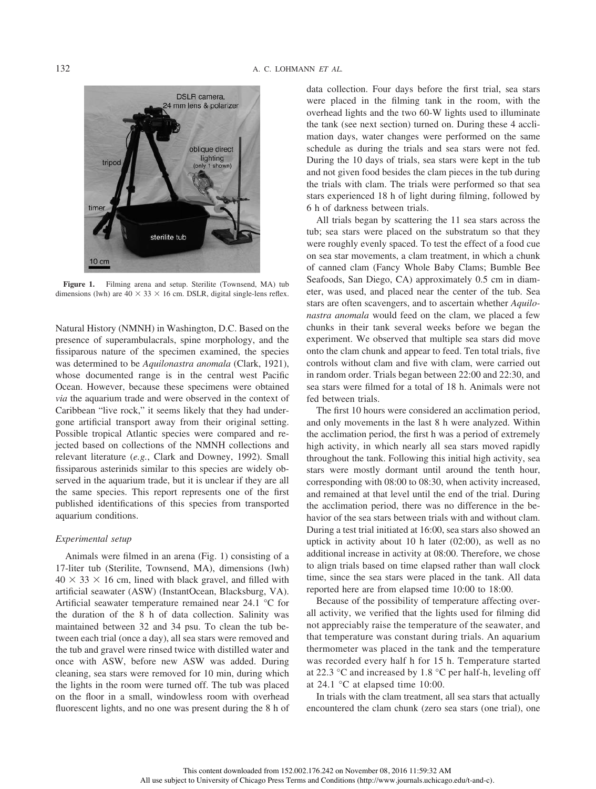

**Figure 1.** Filming arena and setup. Sterilite (Townsend, MA) tub dimensions (lwh) are  $40 \times 33 \times 16$  cm. DSLR, digital single-lens reflex.

Natural History (NMNH) in Washington, D.C. Based on the presence of superambulacrals, spine morphology, and the fissiparous nature of the specimen examined, the species was determined to be *Aquilonastra anomala* (Clark, 1921), whose documented range is in the central west Pacific Ocean. However, because these specimens were obtained *via* the aquarium trade and were observed in the context of Caribbean "live rock," it seems likely that they had undergone artificial transport away from their original setting. Possible tropical Atlantic species were compared and rejected based on collections of the NMNH collections and relevant literature (*e.g.*, Clark and Downey, 1992). Small fissiparous asterinids similar to this species are widely observed in the aquarium trade, but it is unclear if they are all the same species. This report represents one of the first published identifications of this species from transported aquarium conditions.

#### *Experimental setup*

Animals were filmed in an arena (Fig. 1) consisting of a 17-liter tub (Sterilite, Townsend, MA), dimensions (lwh)  $40 \times 33 \times 16$  cm, lined with black gravel, and filled with artificial seawater (ASW) (InstantOcean, Blacksburg, VA). Artificial seawater temperature remained near 24.1 °C for the duration of the 8 h of data collection. Salinity was maintained between 32 and 34 psu. To clean the tub between each trial (once a day), all sea stars were removed and the tub and gravel were rinsed twice with distilled water and once with ASW, before new ASW was added. During cleaning, sea stars were removed for 10 min, during which the lights in the room were turned off. The tub was placed on the floor in a small, windowless room with overhead fluorescent lights, and no one was present during the 8 h of data collection. Four days before the first trial, sea stars were placed in the filming tank in the room, with the overhead lights and the two 60-W lights used to illuminate the tank (see next section) turned on. During these 4 acclimation days, water changes were performed on the same schedule as during the trials and sea stars were not fed. During the 10 days of trials, sea stars were kept in the tub and not given food besides the clam pieces in the tub during the trials with clam. The trials were performed so that sea stars experienced 18 h of light during filming, followed by 6 h of darkness between trials.

All trials began by scattering the 11 sea stars across the tub; sea stars were placed on the substratum so that they were roughly evenly spaced. To test the effect of a food cue on sea star movements, a clam treatment, in which a chunk of canned clam (Fancy Whole Baby Clams; Bumble Bee Seafoods, San Diego, CA) approximately 0.5 cm in diameter, was used, and placed near the center of the tub. Sea stars are often scavengers, and to ascertain whether *Aquilonastra anomala* would feed on the clam, we placed a few chunks in their tank several weeks before we began the experiment. We observed that multiple sea stars did move onto the clam chunk and appear to feed. Ten total trials, five controls without clam and five with clam, were carried out in random order. Trials began between 22:00 and 22:30, and sea stars were filmed for a total of 18 h. Animals were not fed between trials.

The first 10 hours were considered an acclimation period, and only movements in the last 8 h were analyzed. Within the acclimation period, the first h was a period of extremely high activity, in which nearly all sea stars moved rapidly throughout the tank. Following this initial high activity, sea stars were mostly dormant until around the tenth hour, corresponding with 08:00 to 08:30, when activity increased, and remained at that level until the end of the trial. During the acclimation period, there was no difference in the behavior of the sea stars between trials with and without clam. During a test trial initiated at 16:00, sea stars also showed an uptick in activity about 10 h later (02:00), as well as no additional increase in activity at 08:00. Therefore, we chose to align trials based on time elapsed rather than wall clock time, since the sea stars were placed in the tank. All data reported here are from elapsed time 10:00 to 18:00.

Because of the possibility of temperature affecting overall activity, we verified that the lights used for filming did not appreciably raise the temperature of the seawater, and that temperature was constant during trials. An aquarium thermometer was placed in the tank and the temperature was recorded every half h for 15 h. Temperature started at 22.3 °C and increased by 1.8 °C per half-h, leveling off at 24.1 °C at elapsed time 10:00.

In trials with the clam treatment, all sea stars that actually encountered the clam chunk (zero sea stars (one trial), one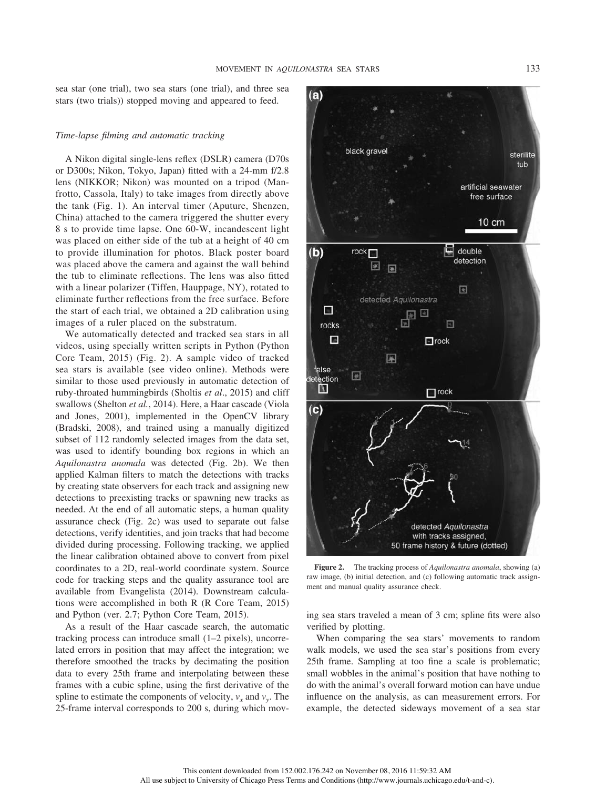sea star (one trial), two sea stars (one trial), and three sea stars (two trials)) stopped moving and appeared to feed.

#### *Time-lapse filming and automatic tracking*

A Nikon digital single-lens reflex (DSLR) camera (D70s or D300s; Nikon, Tokyo, Japan) fitted with a 24-mm f/2.8 lens (NIKKOR; Nikon) was mounted on a tripod (Manfrotto, Cassola, Italy) to take images from directly above the tank (Fig. 1). An interval timer (Aputure, Shenzen, China) attached to the camera triggered the shutter every 8 s to provide time lapse. One 60-W, incandescent light was placed on either side of the tub at a height of 40 cm to provide illumination for photos. Black poster board was placed above the camera and against the wall behind the tub to eliminate reflections. The lens was also fitted with a linear polarizer (Tiffen, Hauppage, NY), rotated to eliminate further reflections from the free surface. Before the start of each trial, we obtained a 2D calibration using images of a ruler placed on the substratum.

We automatically detected and tracked sea stars in all videos, using specially written scripts in Python (Python Core Team, 2015) (Fig. 2). A sample video of tracked sea stars is available (see video online). Methods were similar to those used previously in automatic detection of ruby-throated hummingbirds (Sholtis *et al*., 2015) and cliff swallows (Shelton *et al.*, 2014). Here, a Haar cascade (Viola and Jones, 2001), implemented in the OpenCV library (Bradski, 2008), and trained using a manually digitized subset of 112 randomly selected images from the data set, was used to identify bounding box regions in which an *Aquilonastra anomala* was detected (Fig. 2b). We then applied Kalman filters to match the detections with tracks by creating state observers for each track and assigning new detections to preexisting tracks or spawning new tracks as needed. At the end of all automatic steps, a human quality assurance check (Fig. 2c) was used to separate out false detections, verify identities, and join tracks that had become divided during processing. Following tracking, we applied the linear calibration obtained above to convert from pixel coordinates to a 2D, real-world coordinate system. Source code for tracking steps and the quality assurance tool are available from Evangelista (2014). Downstream calculations were accomplished in both R (R Core Team, 2015) and Python (ver. 2.7; Python Core Team, 2015).

As a result of the Haar cascade search, the automatic tracking process can introduce small (1–2 pixels), uncorrelated errors in position that may affect the integration; we therefore smoothed the tracks by decimating the position data to every 25th frame and interpolating between these frames with a cubic spline, using the first derivative of the spline to estimate the components of velocity,  $v_x$  and  $v_y$ . The 25-frame interval corresponds to 200 s, during which mov-



**Figure 2.** The tracking process of *Aquilonastra anomala*, showing (a) raw image, (b) initial detection, and (c) following automatic track assignment and manual quality assurance check.

ing sea stars traveled a mean of 3 cm; spline fits were also verified by plotting.

When comparing the sea stars' movements to random walk models, we used the sea star's positions from every 25th frame. Sampling at too fine a scale is problematic; small wobbles in the animal's position that have nothing to do with the animal's overall forward motion can have undue influence on the analysis, as can measurement errors. For example, the detected sideways movement of a sea star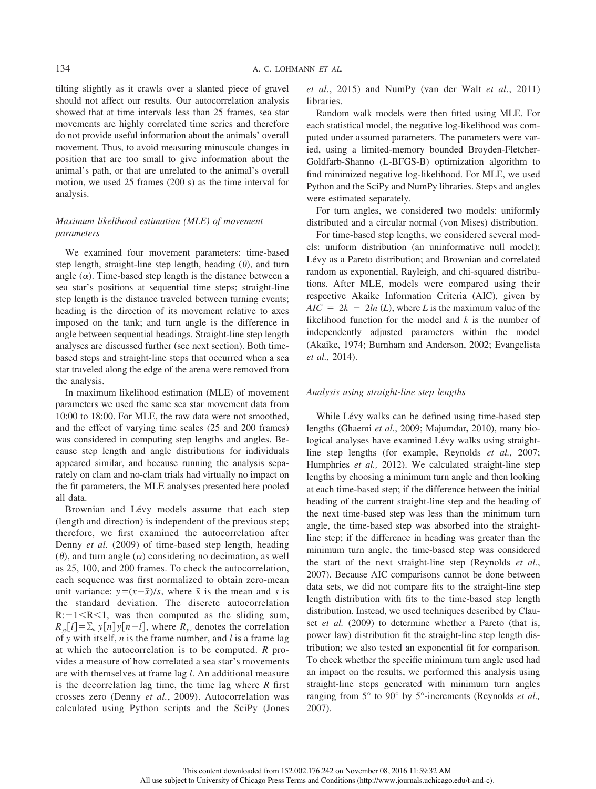tilting slightly as it crawls over a slanted piece of gravel should not affect our results. Our autocorrelation analysis showed that at time intervals less than 25 frames, sea star movements are highly correlated time series and therefore do not provide useful information about the animals' overall movement. Thus, to avoid measuring minuscule changes in position that are too small to give information about the animal's path, or that are unrelated to the animal's overall motion, we used 25 frames (200 s) as the time interval for analysis.

#### *Maximum likelihood estimation (MLE) of movement parameters*

We examined four movement parameters: time-based step length, straight-line step length, heading  $(\theta)$ , and turn angle  $(\alpha)$ . Time-based step length is the distance between a sea star's positions at sequential time steps; straight-line step length is the distance traveled between turning events; heading is the direction of its movement relative to axes imposed on the tank; and turn angle is the difference in angle between sequential headings. Straight-line step length analyses are discussed further (see next section). Both timebased steps and straight-line steps that occurred when a sea star traveled along the edge of the arena were removed from the analysis.

In maximum likelihood estimation (MLE) of movement parameters we used the same sea star movement data from 10:00 to 18:00. For MLE, the raw data were not smoothed, and the effect of varying time scales (25 and 200 frames) was considered in computing step lengths and angles. Because step length and angle distributions for individuals appeared similar, and because running the analysis separately on clam and no-clam trials had virtually no impact on the fit parameters, the MLE analyses presented here pooled all data.

Brownian and Lévy models assume that each step (length and direction) is independent of the previous step; therefore, we first examined the autocorrelation after Denny *et al.* (2009) of time-based step length, heading  $(\theta)$ , and turn angle  $(\alpha)$  considering no decimation, as well as 25, 100, and 200 frames. To check the autocorrelation, each sequence was first normalized to obtain zero-mean unit variance:  $y = (x - \bar{x})/s$ , where  $\bar{x}$  is the mean and *s* is the standard deviation. The discrete autocorrelation  $R: -1 < R < 1$ , was then computed as the sliding sum,  $R_{yy}[l] = \sum_{n} y[n] y[n-l]$ , where  $R_{yy}$  denotes the correlation of *y* with itself, *n* is the frame number, and *l* is a frame lag at which the autocorrelation is to be computed. *R* provides a measure of how correlated a sea star's movements are with themselves at frame lag *l*. An additional measure is the decorrelation lag time, the time lag where *R* first crosses zero (Denny *et al.*, 2009). Autocorrelation was calculated using Python scripts and the SciPy (Jones *et al.*, 2015) and NumPy (van der Walt *et al.*, 2011) libraries.

Random walk models were then fitted using MLE. For each statistical model, the negative log-likelihood was computed under assumed parameters. The parameters were varied, using a limited-memory bounded Broyden-Fletcher-Goldfarb-Shanno (L-BFGS-B) optimization algorithm to find minimized negative log-likelihood. For MLE, we used Python and the SciPy and NumPy libraries. Steps and angles were estimated separately.

For turn angles, we considered two models: uniformly distributed and a circular normal (von Mises) distribution.

For time-based step lengths, we considered several models: uniform distribution (an uninformative null model); Lévy as a Pareto distribution; and Brownian and correlated random as exponential, Rayleigh, and chi-squared distributions. After MLE, models were compared using their respective Akaike Information Criteria (AIC), given by  $AIC = 2k - 2ln(L)$ , where *L* is the maximum value of the likelihood function for the model and *k* is the number of independently adjusted parameters within the model (Akaike, 1974; Burnham and Anderson, 2002; Evangelista *et al.,* 2014).

#### *Analysis using straight-line step lengths*

While Lévy walks can be defined using time-based step lengths (Ghaemi *et al.*, 2009; Majumdar**,** 2010), many biological analyses have examined Lévy walks using straightline step lengths (for example, Reynolds *et al.,* 2007; Humphries *et al.,* 2012). We calculated straight-line step lengths by choosing a minimum turn angle and then looking at each time-based step; if the difference between the initial heading of the current straight-line step and the heading of the next time-based step was less than the minimum turn angle, the time-based step was absorbed into the straightline step; if the difference in heading was greater than the minimum turn angle, the time-based step was considered the start of the next straight-line step (Reynolds *et al.*, 2007). Because AIC comparisons cannot be done between data sets, we did not compare fits to the straight-line step length distribution with fits to the time-based step length distribution. Instead, we used techniques described by Clauset *et al.* (2009) to determine whether a Pareto (that is, power law) distribution fit the straight-line step length distribution; we also tested an exponential fit for comparison. To check whether the specific minimum turn angle used had an impact on the results, we performed this analysis using straight-line steps generated with minimum turn angles ranging from 5° to 90° by 5°-increments (Reynolds *et al.,* 2007).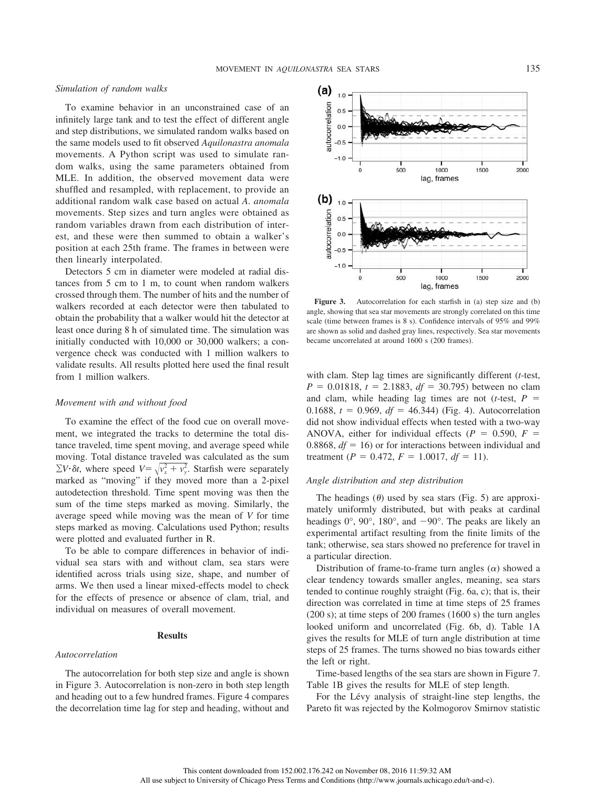#### *Simulation of random walks*

To examine behavior in an unconstrained case of an infinitely large tank and to test the effect of different angle and step distributions, we simulated random walks based on the same models used to fit observed *Aquilonastra anomala* movements. A Python script was used to simulate random walks, using the same parameters obtained from MLE. In addition, the observed movement data were shuffled and resampled, with replacement, to provide an additional random walk case based on actual *A. anomala* movements. Step sizes and turn angles were obtained as random variables drawn from each distribution of interest, and these were then summed to obtain a walker's position at each 25th frame. The frames in between were then linearly interpolated.

Detectors 5 cm in diameter were modeled at radial distances from 5 cm to 1 m, to count when random walkers crossed through them. The number of hits and the number of walkers recorded at each detector were then tabulated to obtain the probability that a walker would hit the detector at least once during 8 h of simulated time. The simulation was initially conducted with 10,000 or 30,000 walkers; a convergence check was conducted with 1 million walkers to validate results. All results plotted here used the final result from 1 million walkers.

#### *Movement with and without food*

To examine the effect of the food cue on overall movement, we integrated the tracks to determine the total distance traveled, time spent moving, and average speed while moving. Total distance traveled was calculated as the sum  $\Sigma V \cdot \delta t$ , where speed  $V = \sqrt{v_x^2 + v_y^2}$ . Starfish were separately marked as "moving" if they moved more than a 2-pixel autodetection threshold. Time spent moving was then the sum of the time steps marked as moving. Similarly, the average speed while moving was the mean of *V* for time steps marked as moving. Calculations used Python; results were plotted and evaluated further in R.

To be able to compare differences in behavior of individual sea stars with and without clam, sea stars were identified across trials using size, shape, and number of arms. We then used a linear mixed-effects model to check for the effects of presence or absence of clam, trial, and individual on measures of overall movement.

#### **Results**

#### *Autocorrelation*

The autocorrelation for both step size and angle is shown in Figure 3. Autocorrelation is non-zero in both step length and heading out to a few hundred frames. Figure 4 compares the decorrelation time lag for step and heading, without and



Figure 3. Autocorrelation for each starfish in (a) step size and (b) angle, showing that sea star movements are strongly correlated on this time scale (time between frames is 8 s). Confidence intervals of 95% and 99% are shown as solid and dashed gray lines, respectively. Sea star movements became uncorrelated at around 1600 s (200 frames).

with clam. Step lag times are significantly different (*t*-test,  $P = 0.01818$ ,  $t = 2.1883$ ,  $df = 30.795$ ) between no clam and clam, while heading lag times are not ( $t$ -test,  $P =$ 0.1688,  $t = 0.969$ ,  $df = 46.344$ ) (Fig. 4). Autocorrelation did not show individual effects when tested with a two-way ANOVA, either for individual effects ( $P = 0.590$ ,  $F =$ 0.8868,  $df = 16$ ) or for interactions between individual and treatment ( $P = 0.472$ ,  $F = 1.0017$ ,  $df = 11$ ).

#### *Angle distribution and step distribution*

The headings  $(\theta)$  used by sea stars (Fig. 5) are approximately uniformly distributed, but with peaks at cardinal headings  $0^\circ$ ,  $90^\circ$ ,  $180^\circ$ , and  $-90^\circ$ . The peaks are likely an experimental artifact resulting from the finite limits of the tank; otherwise, sea stars showed no preference for travel in a particular direction.

Distribution of frame-to-frame turn angles  $(\alpha)$  showed a clear tendency towards smaller angles, meaning, sea stars tended to continue roughly straight (Fig. 6a, c); that is, their direction was correlated in time at time steps of 25 frames (200 s); at time steps of 200 frames (1600 s) the turn angles looked uniform and uncorrelated (Fig. 6b, d). Table 1A gives the results for MLE of turn angle distribution at time steps of 25 frames. The turns showed no bias towards either the left or right.

Time-based lengths of the sea stars are shown in Figure 7. Table 1B gives the results for MLE of step length.

For the Lévy analysis of straight-line step lengths, the Pareto fit was rejected by the Kolmogorov Smirnov statistic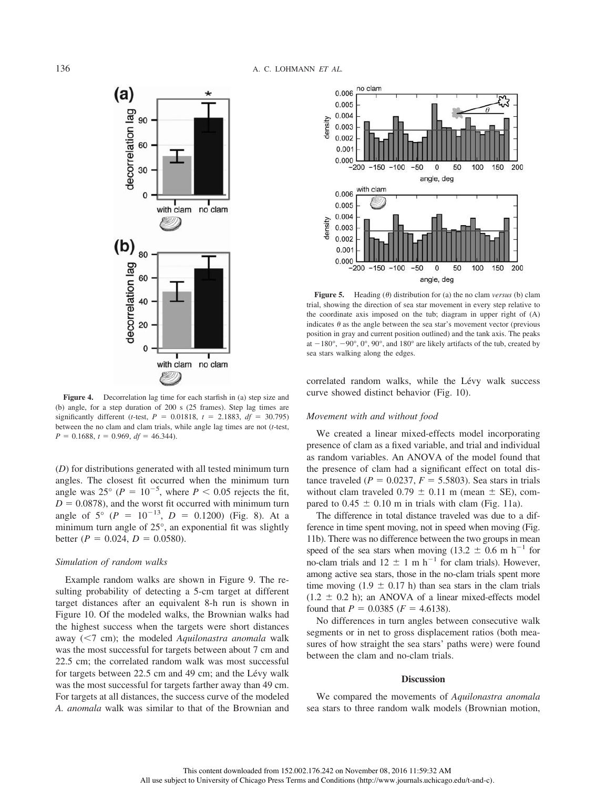

**Figure 4.** Decorrelation lag time for each starfish in (a) step size and (b) angle, for a step duration of 200 s (25 frames). Step lag times are significantly different (*t*-test,  $P = 0.01818$ ,  $t = 2.1883$ ,  $df = 30.795$ ) between the no clam and clam trials, while angle lag times are not (*t*-test,  $P = 0.1688$ ,  $t = 0.969$ ,  $df = 46.344$ .

(*D*) for distributions generated with all tested minimum turn angles. The closest fit occurred when the minimum turn angle was 25° ( $P = 10^{-5}$ , where  $P < 0.05$  rejects the fit,  $D = 0.0878$ , and the worst fit occurred with minimum turn angle of  $5^{\circ}$  ( $P = 10^{-13}$ ,  $D = 0.1200$ ) (Fig. 8). At a minimum turn angle of 25°, an exponential fit was slightly better  $(P = 0.024, D = 0.0580)$ .

#### *Simulation of random walks*

Example random walks are shown in Figure 9. The resulting probability of detecting a 5-cm target at different target distances after an equivalent 8-h run is shown in Figure 10. Of the modeled walks, the Brownian walks had the highest success when the targets were short distances away (<7 cm); the modeled *Aquilonastra anomala* walk was the most successful for targets between about 7 cm and 22.5 cm; the correlated random walk was most successful for targets between 22.5 cm and 49 cm; and the Lévy walk was the most successful for targets farther away than 49 cm. For targets at all distances, the success curve of the modeled *A. anomala* walk was similar to that of the Brownian and



**Figure 5.** Heading  $(\theta)$  distribution for (a) the no clam *versus* (b) clam trial, showing the direction of sea star movement in every step relative to the coordinate axis imposed on the tub; diagram in upper right of (A) indicates  $\theta$  as the angle between the sea star's movement vector (previous position in gray and current position outlined) and the tank axis. The peaks at  $-180^\circ$ ,  $-90^\circ$ ,  $0^\circ$ ,  $90^\circ$ , and  $180^\circ$  are likely artifacts of the tub, created by sea stars walking along the edges.

correlated random walks, while the Lévy walk success curve showed distinct behavior (Fig. 10).

#### *Movement with and without food*

We created a linear mixed-effects model incorporating presence of clam as a fixed variable, and trial and individual as random variables. An ANOVA of the model found that the presence of clam had a significant effect on total distance traveled ( $P = 0.0237$ ,  $F = 5.5803$ ). Sea stars in trials without clam traveled  $0.79 \pm 0.11$  m (mean  $\pm$  SE), compared to  $0.45 \pm 0.10$  m in trials with clam (Fig. 11a).

The difference in total distance traveled was due to a difference in time spent moving, not in speed when moving (Fig. 11b). There was no difference between the two groups in mean speed of the sea stars when moving (13.2  $\pm$  0.6 m h<sup>-1</sup> for no-clam trials and  $12 \pm 1$  m h<sup>-1</sup> for clam trials). However, among active sea stars, those in the no-clam trials spent more time moving (1.9  $\pm$  0.17 h) than sea stars in the clam trials  $(1.2 \pm 0.2 \text{ h})$ ; an ANOVA of a linear mixed-effects model found that  $P = 0.0385$  ( $F = 4.6138$ ).

No differences in turn angles between consecutive walk segments or in net to gross displacement ratios (both measures of how straight the sea stars' paths were) were found between the clam and no-clam trials.

#### **Discussion**

We compared the movements of *Aquilonastra anomala* sea stars to three random walk models (Brownian motion,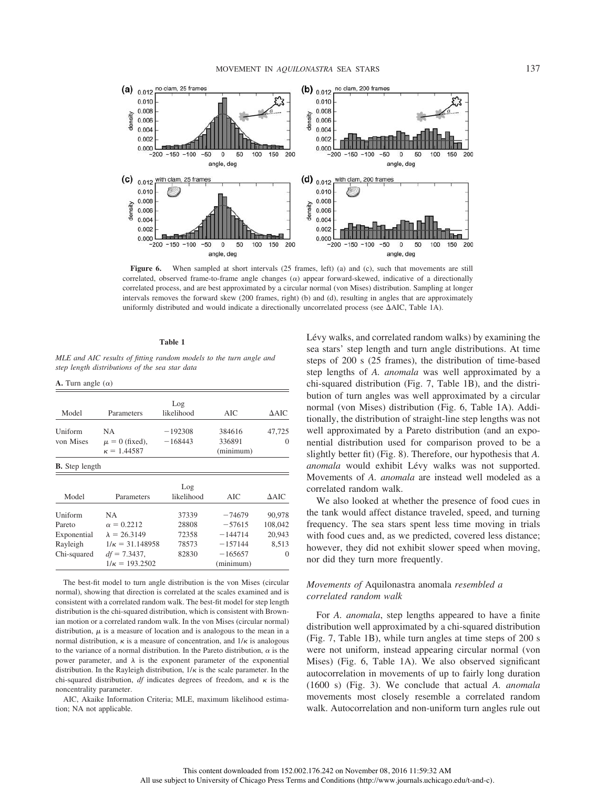

**Figure 6.** When sampled at short intervals (25 frames, left) (a) and (c), such that movements are still correlated, observed frame-to-frame angle changes  $(\alpha)$  appear forward-skewed, indicative of a directionally correlated process, and are best approximated by a circular normal (von Mises) distribution. Sampling at longer intervals removes the forward skew (200 frames, right) (b) and (d), resulting in angles that are approximately uniformly distributed and would indicate a directionally uncorrelated process (see  $\Delta AIC$ , Table 1A).

#### **Table 1**

*MLE and AIC results of fitting random models to the turn angle and step length distributions of the sea star data*

**A.** Turn angle  $(\alpha)$ 

|                       |                        | Log        |           |              |
|-----------------------|------------------------|------------|-----------|--------------|
| Model                 | Parameters             | likelihood | AIC       | $\Delta AIC$ |
| Uniform               | NA.                    | $-192308$  | 384616    | 47,725       |
| von Mises             | $\mu = 0$ (fixed),     | $-168443$  | 336891    | $\Omega$     |
|                       | $\kappa = 1.44587$     |            | (minimum) |              |
| <b>B.</b> Step length |                        |            |           |              |
|                       |                        | Log        |           |              |
| Model                 | Parameters             | likelihood | AIC       | $\Delta AIC$ |
| Uniform               | <b>NA</b>              | 37339      | $-74679$  | 90,978       |
| Pareto                | $\alpha = 0.2212$      | 28808      | $-57615$  | 108,042      |
| Exponential           | $\lambda = 26.3149$    | 72358      | $-144714$ | 20,943       |
| Rayleigh              | $1/\kappa = 31.148958$ | 78573      | $-157144$ | 8.513        |
| Chi-squared           | $df = 7.3437$ ,        | 82830      | $-165657$ | $\theta$     |
|                       | $1/\kappa = 193.2502$  |            | (minimum) |              |

The best-fit model to turn angle distribution is the von Mises (circular normal), showing that direction is correlated at the scales examined and is consistent with a correlated random walk. The best-fit model for step length distribution is the chi-squared distribution, which is consistent with Brownian motion or a correlated random walk. In the von Mises (circular normal) distribution,  $\mu$  is a measure of location and is analogous to the mean in a normal distribution,  $\kappa$  is a measure of concentration, and  $1/\kappa$  is analogous to the variance of a normal distribution. In the Pareto distribution,  $\alpha$  is the power parameter, and  $\lambda$  is the exponent parameter of the exponential distribution. In the Rayleigh distribution,  $1/\kappa$  is the scale parameter. In the chi-squared distribution, *df* indicates degrees of freedom, and  $\kappa$  is the noncentrality parameter.

AIC, Akaike Information Criteria; MLE, maximum likelihood estimation; NA not applicable.

Lévy walks, and correlated random walks) by examining the sea stars' step length and turn angle distributions. At time steps of 200 s (25 frames), the distribution of time-based step lengths of *A. anomala* was well approximated by a chi-squared distribution (Fig. 7, Table 1B), and the distribution of turn angles was well approximated by a circular normal (von Mises) distribution (Fig. 6, Table 1A). Additionally, the distribution of straight-line step lengths was not well approximated by a Pareto distribution (and an exponential distribution used for comparison proved to be a slightly better fit) (Fig. 8). Therefore, our hypothesis that *A. anomala* would exhibit Lévy walks was not supported. Movements of *A. anomala* are instead well modeled as a correlated random walk.

We also looked at whether the presence of food cues in the tank would affect distance traveled, speed, and turning frequency. The sea stars spent less time moving in trials with food cues and, as we predicted, covered less distance; however, they did not exhibit slower speed when moving, nor did they turn more frequently.

### *Movements of* Aquilonastra anomala *resembled a correlated random walk*

For *A. anomala*, step lengths appeared to have a finite distribution well approximated by a chi-squared distribution (Fig. 7, Table 1B), while turn angles at time steps of 200 s were not uniform, instead appearing circular normal (von Mises) (Fig. 6, Table 1A). We also observed significant autocorrelation in movements of up to fairly long duration (1600 s) (Fig. 3). We conclude that actual *A. anomala* movements most closely resemble a correlated random walk. Autocorrelation and non-uniform turn angles rule out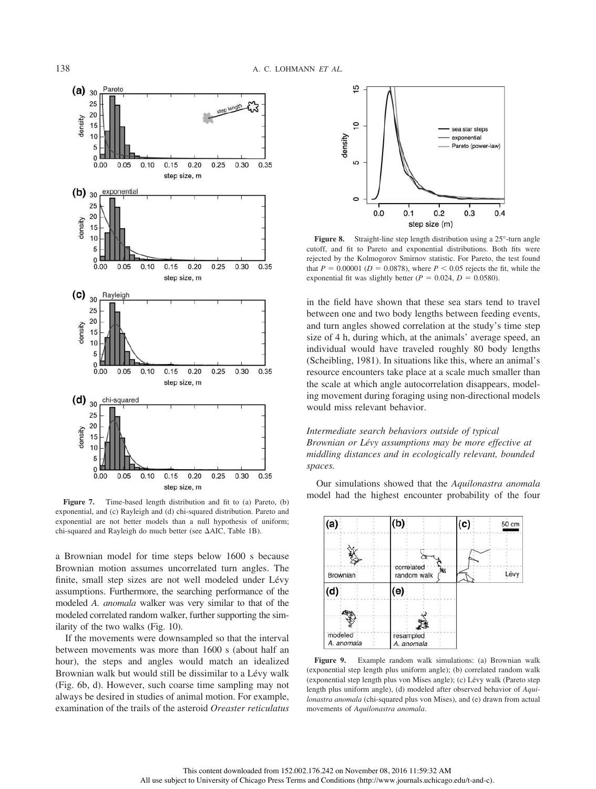

exponential, and (c) Rayleigh and (d) chi-squared distribution. Pareto and exponential are not better models than a null hypothesis of uniform; chi-squared and Rayleigh do much better (see  $\Delta AIC$ , Table 1B).

a Brownian model for time steps below 1600 s because Brownian motion assumes uncorrelated turn angles. The finite, small step sizes are not well modeled under Lévy assumptions. Furthermore, the searching performance of the modeled *A. anomala* walker was very similar to that of the modeled correlated random walker, further supporting the similarity of the two walks (Fig. 10).

If the movements were downsampled so that the interval between movements was more than 1600 s (about half an hour), the steps and angles would match an idealized Brownian walk but would still be dissimilar to a Lévy walk (Fig. 6b, d). However, such coarse time sampling may not always be desired in studies of animal motion. For example, examination of the trails of the asteroid *Oreaster reticulatus*



Figure 8. Straight-line step length distribution using a 25°-turn angle cutoff, and fit to Pareto and exponential distributions. Both fits were rejected by the Kolmogorov Smirnov statistic. For Pareto, the test found that  $P = 0.00001$  ( $D = 0.0878$ ), where  $P < 0.05$  rejects the fit, while the exponential fit was slightly better ( $P = 0.024$ ,  $D = 0.0580$ ).

in the field have shown that these sea stars tend to travel between one and two body lengths between feeding events, and turn angles showed correlation at the study's time step size of 4 h, during which, at the animals' average speed, an individual would have traveled roughly 80 body lengths (Scheibling, 1981). In situations like this, where an animal's resource encounters take place at a scale much smaller than the scale at which angle autocorrelation disappears, modeling movement during foraging using non-directional models would miss relevant behavior.

#### *Intermediate search behaviors outside of typical Brownian or Le´vy assumptions may be more effective at middling distances and in ecologically relevant, bounded spaces.*

Our simulations showed that the *Aquilonastra anomala* **Figure 7.** Time-based length distribution and fit to (a) Pareto, (b) model had the highest encounter probability of the four



**Figure 9.** Example random walk simulations: (a) Brownian walk (exponential step length plus uniform angle); (b) correlated random walk (exponential step length plus von Mises angle); (c) Lévy walk (Pareto step length plus uniform angle), (d) modeled after observed behavior of *Aquilonastra anomala* (chi-squared plus von Mises), and (e) drawn from actual movements of *Aquilonastra anomala*.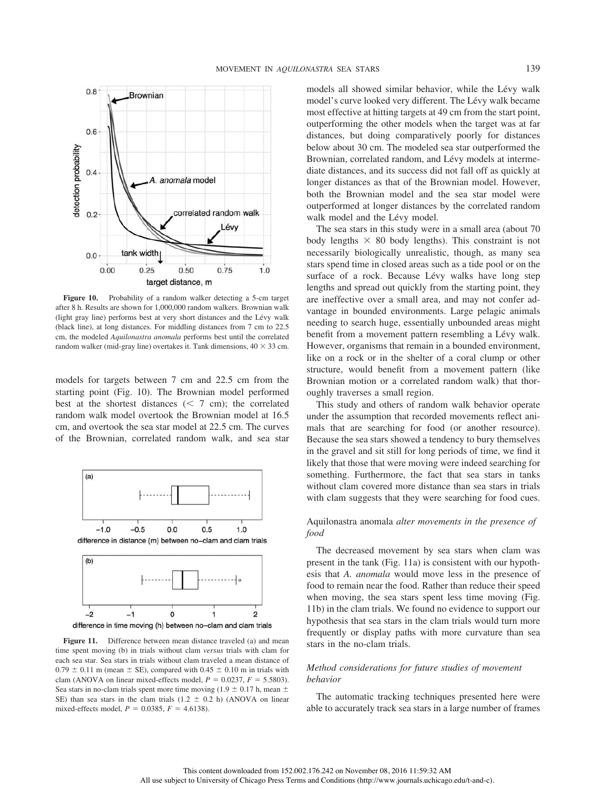

Figure 10. Probability of a random walker detecting a 5-cm target after 8 h. Results are shown for 1,000,000 random walkers. Brownian walk (light gray line) performs best at very short distances and the Lévy walk (black line), at long distances. For middling distances from 7 cm to 22.5 cm, the modeled *Aquilonastra anomala* performs best until the correlated random walker (mid-gray line) overtakes it. Tank dimensions,  $40 \times 33$  cm.

models for targets between 7 cm and 22.5 cm from the starting point (Fig. 10). The Brownian model performed best at the shortest distances  $(< 7$  cm); the correlated random walk model overtook the Brownian model at 16.5 cm, and overtook the sea star model at 22.5 cm. The curves of the Brownian, correlated random walk, and sea star



difference in time moving (h) between no-clam and clam trials

Figure 11. Difference between mean distance traveled (a) and mean time spent moving (b) in trials without clam *versus* trials with clam for each sea star. Sea stars in trials without clam traveled a mean distance of  $0.79 \pm 0.11$  m (mean  $\pm$  SE), compared with 0.45  $\pm$  0.10 m in trials with clam (ANOVA on linear mixed-effects model,  $P = 0.0237$ ,  $F = 5.5803$ ). Sea stars in no-clam trials spent more time moving (1.9  $\pm$  0.17 h, mean  $\pm$ SE) than sea stars in the clam trials  $(1.2 \pm 0.2 \text{ h})$  (ANOVA on linear mixed-effects model,  $P = 0.0385$ ,  $F = 4.6138$ ).

models all showed similar behavior, while the Lévy walk model's curve looked very different. The Lévy walk became most effective at hitting targets at 49 cm from the start point, outperforming the other models when the target was at far distances, but doing comparatively poorly for distances below about 30 cm. The modeled sea star outperformed the Brownian, correlated random, and Lévy models at intermediate distances, and its success did not fall off as quickly at longer distances as that of the Brownian model. However, both the Brownian model and the sea star model were outperformed at longer distances by the correlated random walk model and the Lévy model.

The sea stars in this study were in a small area (about 70 body lengths  $\times$  80 body lengths). This constraint is not necessarily biologically unrealistic, though, as many sea stars spend time in closed areas such as a tide pool or on the surface of a rock. Because Lévy walks have long step lengths and spread out quickly from the starting point, they are ineffective over a small area, and may not confer advantage in bounded environments. Large pelagic animals needing to search huge, essentially unbounded areas might benefit from a movement pattern resembling a Lévy walk. However, organisms that remain in a bounded environment, like on a rock or in the shelter of a coral clump or other structure, would benefit from a movement pattern (like Brownian motion or a correlated random walk) that thoroughly traverses a small region.

This study and others of random walk behavior operate under the assumption that recorded movements reflect animals that are searching for food (or another resource). Because the sea stars showed a tendency to bury themselves in the gravel and sit still for long periods of time, we find it likely that those that were moving were indeed searching for something. Furthermore, the fact that sea stars in tanks without clam covered more distance than sea stars in trials with clam suggests that they were searching for food cues.

#### Aquilonastra anomala *alter movements in the presence of food*

The decreased movement by sea stars when clam was present in the tank (Fig. 11a) is consistent with our hypothesis that *A. anomala* would move less in the presence of food to remain near the food. Rather than reduce their speed when moving, the sea stars spent less time moving (Fig. 11b) in the clam trials. We found no evidence to support our hypothesis that sea stars in the clam trials would turn more frequently or display paths with more curvature than sea stars in the no-clam trials.

#### *Method considerations for future studies of movement behavior*

The automatic tracking techniques presented here were able to accurately track sea stars in a large number of frames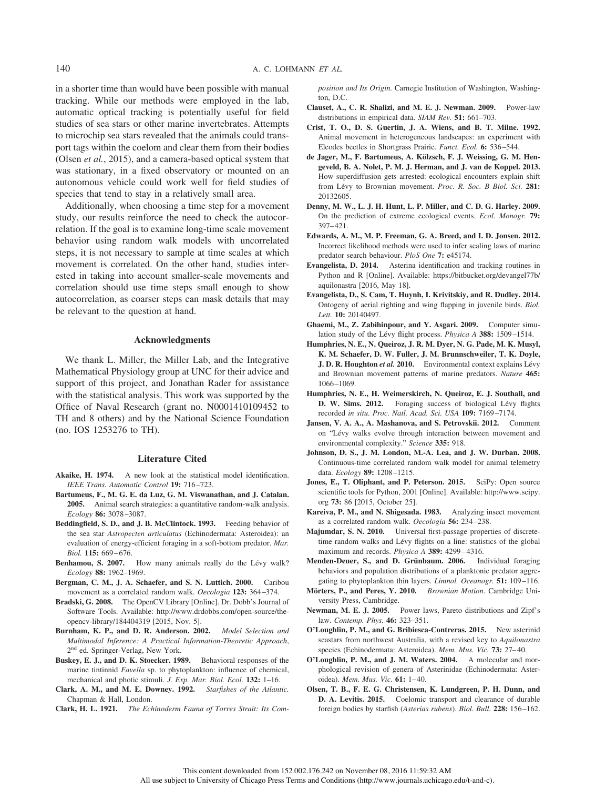in a shorter time than would have been possible with manual tracking. While our methods were employed in the lab, automatic optical tracking is potentially useful for field studies of sea stars or other marine invertebrates. Attempts to microchip sea stars revealed that the animals could transport tags within the coelom and clear them from their bodies (Olsen *et al.*, 2015), and a camera-based optical system that was stationary, in a fixed observatory or mounted on an autonomous vehicle could work well for field studies of species that tend to stay in a relatively small area.

Additionally, when choosing a time step for a movement study, our results reinforce the need to check the autocorrelation. If the goal is to examine long-time scale movement behavior using random walk models with uncorrelated steps, it is not necessary to sample at time scales at which movement is correlated. On the other hand, studies interested in taking into account smaller-scale movements and correlation should use time steps small enough to show autocorrelation, as coarser steps can mask details that may be relevant to the question at hand.

#### **Acknowledgments**

We thank L. Miller, the Miller Lab, and the Integrative Mathematical Physiology group at UNC for their advice and support of this project, and Jonathan Rader for assistance with the statistical analysis. This work was supported by the Office of Naval Research (grant no. N0001410109452 to TH and 8 others) and by the National Science Foundation (no. IOS 1253276 to TH).

#### **Literature Cited**

- **Akaike, H. 1974.** A new look at the statistical model identification. *IEEE Trans. Automatic Control* **19:** 716 –723.
- **Bartumeus, F., M. G. E. da Luz, G. M. Viswanathan, and J. Catalan. 2005.** Animal search strategies: a quantitative random-walk analysis. *Ecology* **86:** 3078 –3087.
- **Beddingfield, S. D., and J. B. McClintock. 1993.** Feeding behavior of the sea star *Astropecten articulatus* (Echinodermata: Asteroidea): an evaluation of energy-efficient foraging in a soft-bottom predator. *Mar. Biol.* **115:** 669 – 676.
- Benhamou, S. 2007. How many animals really do the Lévy walk? *[Ecology](http://www.journals.uchicago.edu/action/showLinks?pmid=17824427)* **88:** 1962–1969.
- **Bergman, C. M., J. A. Schaefer, and S. N. Luttich. 2000.** Caribou movement as a correlated random walk. *Oecologia* **123:** 364 –374.
- **Bradski, G. 2008.** The OpenCV Library [Online]. Dr. Dobb's Journal of Software Tools. Available: [http://www.drdobbs.com/open-source/the](http://www.drdobbs.com/open-source/the-opencv-library/184404319)[opencv-library/184404319](http://www.drdobbs.com/open-source/the-opencv-library/184404319) [2015, Nov. 5].
- **Burnham, K. P., and D. R. Anderson. 2002.** *Model Selection and Multimodal Inference: A Practical Information-Theoretic Approach*, 2nd ed. Springer-Verlag, New York.
- **Buskey, E. J., and D. K. Stoecker. 1989.** Behavioral responses of the marine tintinnid *Favella* sp. to phytoplankton: influence of chemical, mechanical and photic stimuli. *J. Exp. Mar. Biol. Ecol.* **132:** 1–16.
- **Clark, A. M., and M. E. Downey. 1992.** *Starfishes of the Atlantic.* Chapman & Hall, London.
- **Clark, H. L. 1921.** *The Echinoderm Fauna of Torres Strait: Its Com-*

*position and Its Origin.* Carnegie Institution of Washington, Washington,  $\overline{D}C$ .

- **Clauset, A., C. R. Shalizi, and M. E. J. Newman. 2009.** Power-law distributions in empirical data. *SIAM Rev.* **51:** 661–703.
- **Crist, T. O., D. S. Guertin, J. A. Wiens, and B. T. Milne. 1992.** Animal movement in heterogeneous landscapes: an experiment with Eleodes beetles in Shortgrass Prairie. *Funct. Ecol.* **6:** 536 –544.
- **de Jager, M., F. Bartumeus, A. Kölzsch, F. J. Weissing, G. M. Hengeveld, B. A. Nolet, P. M. J. Herman, and J. van de Koppel. 2013.** How superdiffusion gets arrested: ecological encounters explain shift from Lévy to Brownian movement. *Proc. R. Soc. B Biol. Sci.* 281: 20132605.
- **Denny, M. W., L. J. H. Hunt, L. P. Miller, and C. D. G. Harley. 2009.** On the prediction of extreme ecological events. *Ecol. Monogr.* **79:** 397– 421.
- **Edwards, A. M., M. P. Freeman, G. A. Breed, and I. D. Jonsen. 2012.** Incorrect likelihood methods were used to infer scaling laws of marine predator search behaviour. *PloS One* **7:** e45174.
- **Evangelista, D. 2014.** Asterina identification and tracking routines in Python and R [Online]. Available: [https://bitbucket.org/devangel77b/](https://bitbucket.org/devangel77b/aquilonastra) [aquilonastra](https://bitbucket.org/devangel77b/aquilonastra) [2016, May 18].
- **Evangelista, D., S. Cam, T. Huynh, I. Krivitskiy, and R. Dudley. 2014.** Ontogeny of aerial righting and wing flapping in juvenile birds. *Biol. Lett.* **10:** 20140497.
- **Ghaemi, M., Z. Zabihinpour, and Y. Asgari. 2009.** Computer simulation study of the Lévy flight process. *Physica A* **388:** 1509–1514.
- **Humphries, N. E., N. Queiroz, J. R. M. Dyer, N. G. Pade, M. K. Musyl, K. M. Schaefer, D. W. Fuller, J. M. Brunnschweiler, T. K. Doyle, J. D. R. Houghton et al. 2010.** Environmental context explains Lévy and Brownian movement patterns of marine predators. *[Nature](http://www.journals.uchicago.edu/action/showLinks?pmid=20531470)* **465:** 1066 –1069.
- **Humphries, N. E., H. Weimerskirch, N. Queiroz, E. J. Southall, and** D. W. Sims. 2012. Foraging success of biological Lévy flights recorded *in situ*. *[Proc. Natl. Acad. Sci. USA](http://www.journals.uchicago.edu/action/showLinks?pmid=22529349)* **109:** 7169 –7174.
- **Jansen, V. A. A., A. Mashanova, and S. Petrovskii. 2012.** Comment on "Lévy walks evolve through interaction between movement and environmental complexity." *[Science](http://www.journals.uchicago.edu/action/showLinks?pmid=22362991)* **335:** 918.
- **Johnson, D. S., J. M. London, M.-A. Lea, and J. W. Durban. 2008.** Continuous-time correlated random walk model for animal telemetry data. *[Ecology](http://www.journals.uchicago.edu/action/showLinks?pmid=18543615)* **89:** 1208 –1215.
- **Jones, E., T. Oliphant, and P. Peterson. 2015.** SciPy: Open source scientific tools for Python, 2001 [Online]. Available: [http://www.scipy.](http://www.scipy.org) [org](http://www.scipy.org) **73:** 86 [2015, October 25].
- **Kareiva, P. M., and N. Shigesada. 1983.** Analyzing insect movement as a correlated random walk. *Oecologia* **56:** 234 –238.
- **Majumdar, S. N. 2010.** Universal first-passage properties of discretetime random walks and Lévy flights on a line: statistics of the global maximum and records. *Physica A* **389:** 4299 – 4316.
- Menden-Deuer, S., and D. Grünbaum. 2006. Individual foraging behaviors and population distributions of a planktonic predator aggregating to phytoplankton thin layers. *Limnol. Oceanogr.* **51:** 109 –116.
- **Mörters, P., and Peres, Y. 2010.** *Brownian Motion*. Cambridge University Press, Cambridge.
- **Newman, M. E. J. 2005.** Power laws, Pareto distributions and Zipf's law. *Contemp. Phys.* **46:** 323–351.
- **O'Loughlin, P. M., and G. Bribiesca-Contreras. 2015.** New asterinid seastars from northwest Australia, with a revised key to *Aquilonastra* species (Echinodermata: Asteroidea). *Mem. Mus. Vic.* **73:** 27– 40.
- **O'Loughlin, P. M., and J. M. Waters. 2004.** A molecular and morphological revision of genera of Asterinidae (Echinodermata: Asteroidea). *Mem. Mus. Vic.* **61:** 1– 40.
- **Olsen, T. B., F. E. G. Christensen, K. Lundgreen, P. H. Dunn, and D. A. Levitis. 2015.** Coelomic transport and clearance of durable foreign bodies by starfish (*Asterias rubens*). *[Biol. Bull.](http://www.journals.uchicago.edu/action/showLinks?system=10.1086%2FBBLv228n2p156)* **228:** 156 –162.